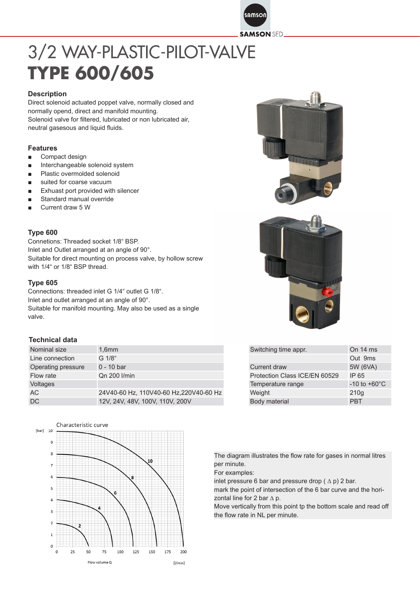samson

**SAMSON SED** 

# 3/2 WAY-PLASTIC-PILOT-VALVE **TYPE 600/605**

#### **Description**

Direct solenoid actuated poppet valve, normally closed and normally opend, direct and manifold mounting. Solenoid valve for filtered, lubricated or non lubricated air, neutral gasesous and liquid fluids.

#### **Features**

- Compact design
- Interchangeable solenoid system
- Plastic overmolded solenoid
- suited for coarse vacuum
- Exhuast port provided with silencer
- Standard manual override
- Current draw 5 W

#### **Type 600**

Connetions: Threaded socket 1/8" BSP. Inlet and Outlet arranged at an angle of 90°. Suitable for direct mounting on process valve, by hollow screw with 1/4" or 1/8" BSP thread.

#### **Type 605**

Connections: threaded inlet G 1/4" outlet G 1/8". Inlet and outlet arranged at an angle of 90°. Suitable for manifold mounting. May also be used as a single valve.

#### **Technical data**

| Nominal size       | 1.6 <sub>mm</sub>                       | Switching time appr.          | On 14 ms                 |
|--------------------|-----------------------------------------|-------------------------------|--------------------------|
| Line connection    | G 1/8"                                  |                               | Out 9ms                  |
| Operating pressure | $0 - 10$ bar                            | Current draw                  | 5W (6VA)                 |
| Flow rate          | Qn 200 l/min                            | Protection Class ICE/EN 60529 | IP 65                    |
| Voltages           |                                         | Temperature range             | $-10$ to $+60^{\circ}$ C |
| AC.                | 24V40-60 Hz, 110V40-60 Hz, 220V40-60 Hz | Weight                        | 210q                     |
| <b>DC</b>          | 12V, 24V, 48V, 100V, 110V, 200V         | Body material                 | <b>PBT</b>               |

Characteristic curve Tharl 10







| Switching time appr.          | On 14 ms                 |  |  |  |
|-------------------------------|--------------------------|--|--|--|
|                               | Out 9ms                  |  |  |  |
| <b>Current draw</b>           | 5W (6VA)                 |  |  |  |
| Protection Class ICE/EN 60529 | IP 65                    |  |  |  |
| Temperature range             | $-10$ to $+60^{\circ}$ C |  |  |  |
| Weight                        | 210q                     |  |  |  |
| Body material                 | <b>PRT</b>               |  |  |  |

The diagram illustrates the flow rate for gases in normal litres per minute.

For examples:

inlet pressure 6 bar and pressure drop  $( \Delta p)$  2 bar.

mark the point of intersection of the 6 bar curve and the horizontal line for 2 bar  $\Delta$  p.

Move vertically from this point tp the bottom scale and read off the flow rate in NL per minute.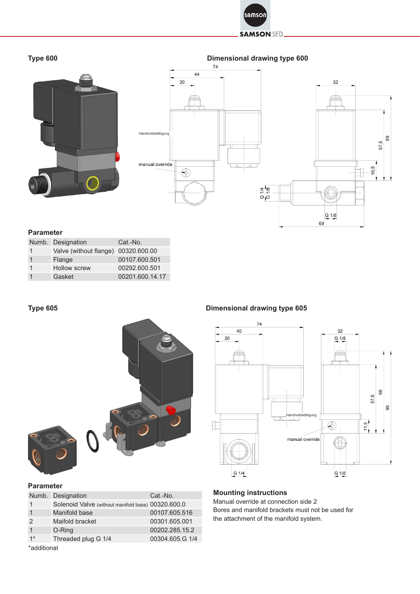

#### **SAMSON SED**

# **Type 600**





#### **Parameter**

| Numb. Designation                   | Cat.-No.        |
|-------------------------------------|-----------------|
| Valve (without flange) 00320.600.00 |                 |
| Flange                              | 00107.600.501   |
| <b>Hollow screw</b>                 | 00292.600.501   |
| Gasket                              | 00201.600.14.17 |

# **Type 605**



### **Parameter**

|               | Numb. Designation                                  | Cat.-No.        |  |  |  |  |
|---------------|----------------------------------------------------|-----------------|--|--|--|--|
| 1             | Solenoid Valve (without manifold base) 00320.600.0 |                 |  |  |  |  |
|               | Manifold base                                      | 00107.605.516   |  |  |  |  |
| $\mathcal{P}$ | Maifold bracket                                    | 00301.605.001   |  |  |  |  |
|               | O-Ring                                             | 00202.285.15.2  |  |  |  |  |
| $1*$          | Threaded plug G 1/4                                | 00304.605.G 1/4 |  |  |  |  |
| *additional   |                                                    |                 |  |  |  |  |

#### **Dimensional drawing type 605**



69

### **Mounting instructions**

Manual override at connection side 2 Bores and manifold brackets must not be used for the attachment of the manifold system.

\*additional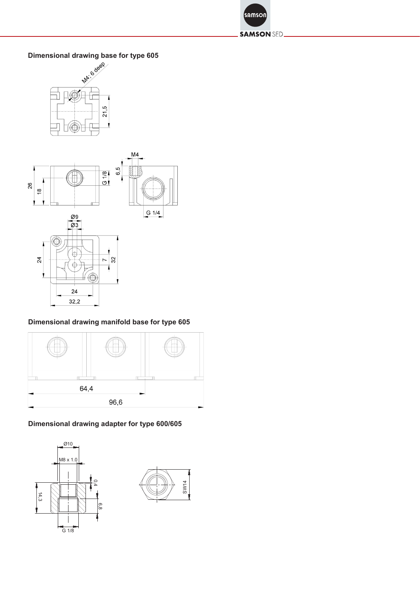

#### **SAMSON SED.**





# **Dimensional drawing manifold base for type 605**



#### Dimensional drawing adapter for type 600/605